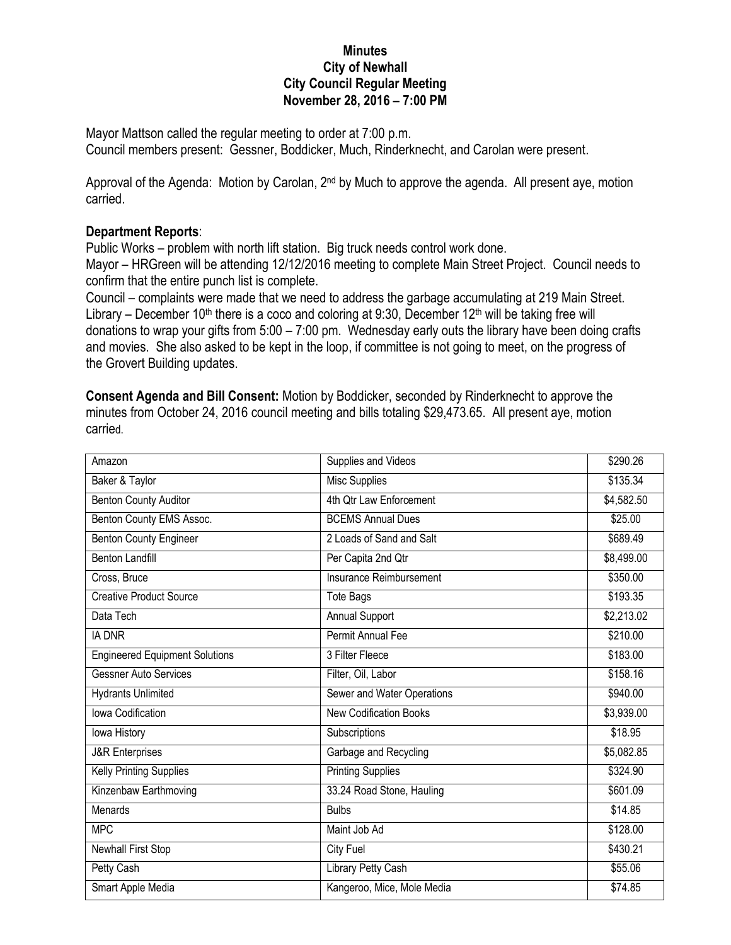## **Minutes City of Newhall City Council Regular Meeting November 28, 2016 – 7:00 PM**

Mayor Mattson called the regular meeting to order at 7:00 p.m. Council members present: Gessner, Boddicker, Much, Rinderknecht, and Carolan were present.

Approval of the Agenda: Motion by Carolan, 2<sup>nd</sup> by Much to approve the agenda. All present aye, motion carried.

## **Department Reports**:

Public Works – problem with north lift station. Big truck needs control work done.

Mayor – HRGreen will be attending 12/12/2016 meeting to complete Main Street Project. Council needs to confirm that the entire punch list is complete.

Council – complaints were made that we need to address the garbage accumulating at 219 Main Street. Library – December 10<sup>th</sup> there is a coco and coloring at 9:30, December 12<sup>th</sup> will be taking free will donations to wrap your gifts from 5:00 – 7:00 pm. Wednesday early outs the library have been doing crafts and movies. She also asked to be kept in the loop, if committee is not going to meet, on the progress of the Grovert Building updates.

**Consent Agenda and Bill Consent:** Motion by Boddicker, seconded by Rinderknecht to approve the minutes from October 24, 2016 council meeting and bills totaling \$29,473.65. All present aye, motion carried.

| Amazon                                | Supplies and Videos           | \$290.26   |
|---------------------------------------|-------------------------------|------------|
| Baker & Taylor                        | Misc Supplies                 | \$135.34   |
| Benton County Auditor                 | 4th Qtr Law Enforcement       | \$4,582.50 |
| Benton County EMS Assoc.              | <b>BCEMS Annual Dues</b>      | \$25.00    |
| Benton County Engineer                | 2 Loads of Sand and Salt      | \$689.49   |
| Benton Landfill                       | Per Capita 2nd Qtr            | \$8,499.00 |
| Cross, Bruce                          | Insurance Reimbursement       | \$350.00   |
| <b>Creative Product Source</b>        | <b>Tote Bags</b>              | \$193.35   |
| Data Tech                             | Annual Support                | \$2,213.02 |
| <b>IA DNR</b>                         | Permit Annual Fee             | \$210.00   |
| <b>Engineered Equipment Solutions</b> | 3 Filter Fleece               | \$183.00   |
| <b>Gessner Auto Services</b>          | Filter, Oil, Labor            | \$158.16   |
| <b>Hydrants Unlimited</b>             | Sewer and Water Operations    | \$940.00   |
| Iowa Codification                     | <b>New Codification Books</b> | \$3,939.00 |
| lowa History                          | Subscriptions                 | \$18.95    |
| <b>J&amp;R</b> Enterprises            | Garbage and Recycling         | \$5,082.85 |
| Kelly Printing Supplies               | <b>Printing Supplies</b>      | \$324.90   |
| Kinzenbaw Earthmoving                 | 33.24 Road Stone, Hauling     | \$601.09   |
| Menards                               | <b>Bulbs</b>                  | \$14.85    |
| <b>MPC</b>                            | Maint Job Ad                  | \$128.00   |
| <b>Newhall First Stop</b>             | <b>City Fuel</b>              | \$430.21   |
| Petty Cash                            | Library Petty Cash            | \$55.06    |
| Smart Apple Media                     | Kangeroo, Mice, Mole Media    | \$74.85    |